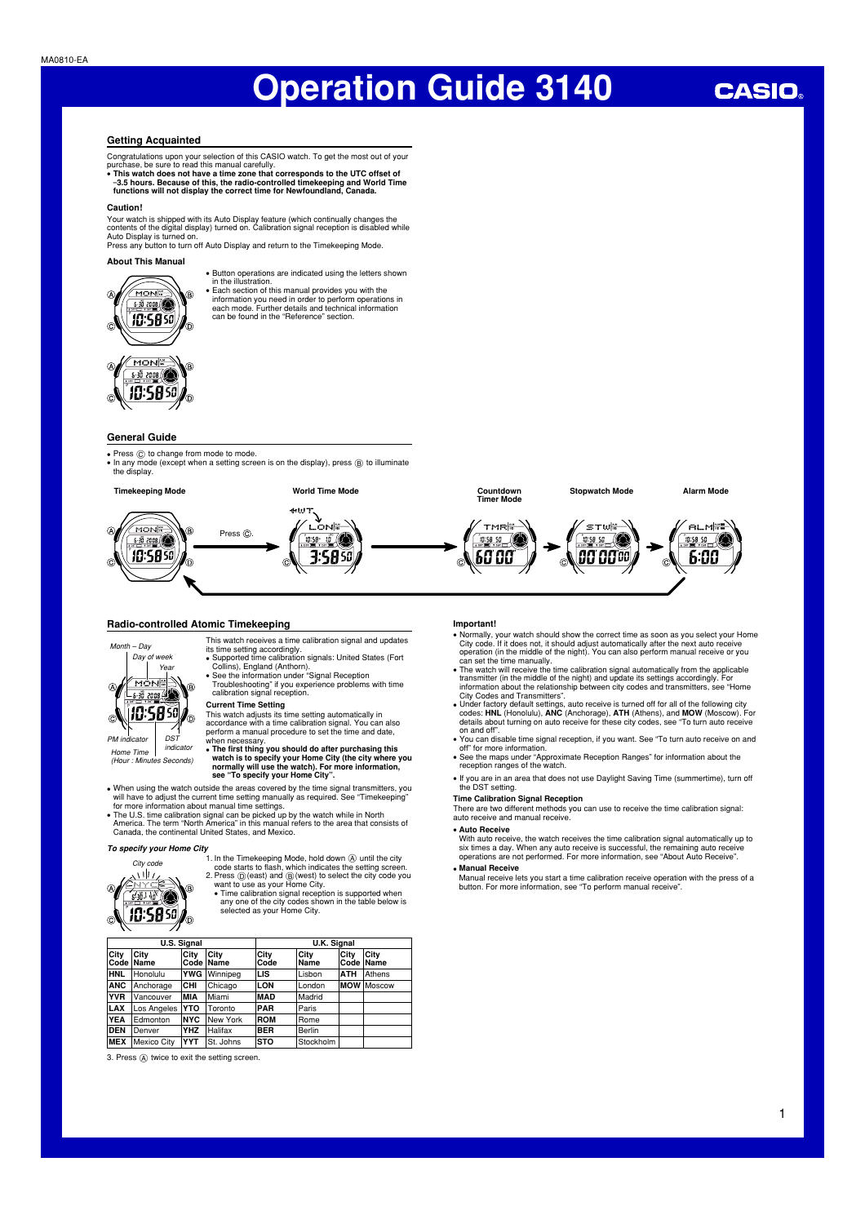### **Getting Acquainted**

Congratulations upon your selection of this CASIO watch. To get the most out of your

purchase, be sure to read this manual carefully.<br>• This watch does not have a time zone that corresponds to the UTC offset of<br>-3.5 hours. Because of this, the radio-controlled timekeeping and World Time<br>functions will not

#### **Caution!**

Your watch is shipped with its Auto Display feature (which continually changes the<br>contents of the digital display) turned on. Calibration signal reception is disabled while<br>Auto Display is turned on.<br>Press any button to t

### **About This Manual**



- Button operations are indicated using the letters shown in the illustration. • Each section of this manual provides you with the
- information you need in order to perform operations in each mode. Further details and technical information can be found in the "Reference" section.



### **General Guide**

- 
- Press ⓒ to change from mode to mode.<br>• In any mode (except when a setting screen is on the display), press ⑧ to illuminate the display.



#### **Radio-controlled Atomic Timekeeping**



*(Hour : Minutes Seconds)*

**Current Time Setting**<br>This watch adjusts its time setting automatically in<br>accordance with a time calibration signal. You can also<br>perform a manual procedure to set the time and date, when necessary.

• The first thing you should do after purchasing this<br>watch is to specify your Home City (the city where you<br>normally will use the watch). For more information,<br>see "To specify your Home City".

This watch receives a time calibration signal and updates its time setting accordingly. • Supported time calibration signals: United States (Fort

Collins), England (Anthorn). • See the information under "Signal Reception Troubleshooting" if you experience problems with time calibration signal reception.

• When using the watch outside the areas covered by the time signal transmitters, you will have to adjust the current time setting manually as required. See "Timekeeping" for more information about manual time settings.

• The U.S. time calibration signal can be picked up by the watch while in North America. The term "North America" in this manual refers to the area that consists of Canada, the continental United States, and Mexico.

*City code*

To specify your Home City<br>
City code<br>  $\frac{\sqrt{111}}{\sqrt{111}}$  . In the Timekeeping Mode, hold down  $\bigotimes$  until the city<br>
code starts to flash, which indicates the setting screen.<br>
2. Press  $\bigotimes$  (east) and  $\bigotimes$  wealth to u

| <b>U.S. Signal</b> |                            |            |                          | <b>U.K. Signal</b> |              |                   |        |
|--------------------|----------------------------|------------|--------------------------|--------------------|--------------|-------------------|--------|
| City               | <b>City</b><br>Code   Name | City       | <b>City</b><br>Code Name | City<br>Code       | City<br>Name | City<br>Code Name | City   |
| <b>HNL</b>         | Honolulu                   | <b>YWG</b> | Winnipeg                 | LIS                | Lisbon       | <b>ATH</b>        | Athens |
| ANC                | Anchorage                  | CHI        | Chicago                  | LON                | London       | <b>IMOW</b>       | Moscow |
| <b>YVR</b>         | <b>Vancouver</b>           | <b>MIA</b> | Miami                    | <b>MAD</b>         | Madrid       |                   |        |
| LAX                | Los Angeles                | <b>YTO</b> | <b>Toronto</b>           | <b>PAR</b>         | Paris        |                   |        |
| YEA                | Edmonton                   | <b>NYC</b> | New York                 | <b>ROM</b>         | Rome         |                   |        |

## **Important!**

- Normally, your watch should show the correct time as soon as you select your Home<br>City code. If it does not, it should adjust automatically after the next auto receive<br>operation (in the middle of the night). You can also
- City Codes and Transmitters".
- Under factory default settings, auto receive is turned off for all of the following city<br>codes: HNL (Honolulu), ANC (Anchorage), ATH (Athens), and MOW (Moscow). For<br>details about turning on auto receive for these city co
- You can disable time signal reception, if you want. See "To turn auto receive on and off" for more information. • See the maps under "Approximate Reception Ranges" for information about the
- reception ranges of the watch.
- If you are in an area that does not use Daylight Saving Time (summertime), turn off the DST setting.

#### **Time Calibration Signal Reception**

 There are two different methods you can use to receive the time calibration signal: auto receive and manual receive.

#### • **Auto Receive**

With auto receive, the watch receives the time calibration signal automatically up to<br>six times a day. When any auto receive is successful, the remaining auto receive<br>operations are not performed. For more information, see • **Manual Receive** 

Manual receive lets you start a time calibration receive operation with the press of a button. For more information, see "To perform manual receive".

**DEN** Denver **YHZ** Halifax **BER** Berlin **MEX** Mexico City **YYT** St. Johns **STO** Stockholm

## **CASIO**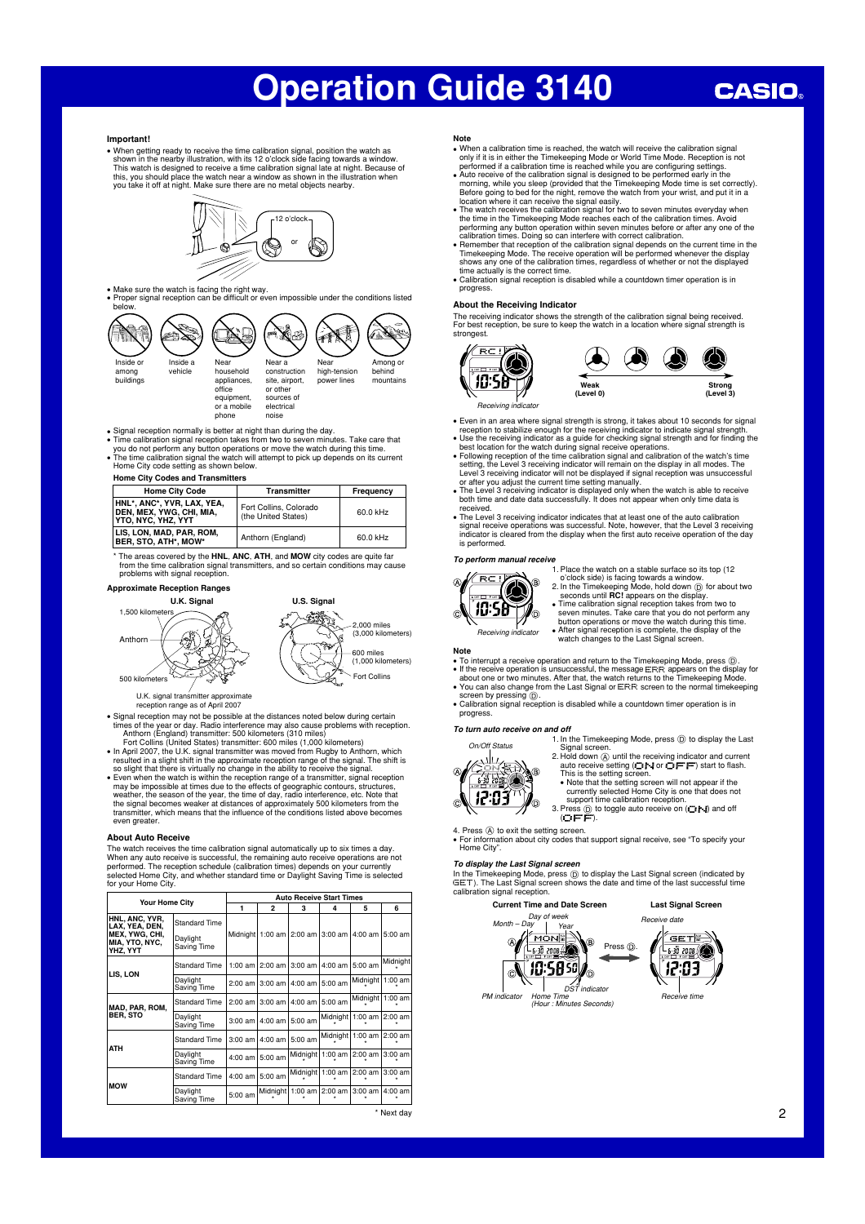## **CASIO**

#### **Important!**

● When getting ready to receive the time calibration signal, position the watch as<br>shown in the nearby illustration, with its 12 o'clock side facing towards a window.<br>This watch is designed to receive a time calibration this, you should place the watch near a window as shown in the illustration when you take it off at night. Make sure there are no metal objects nearby.



• Make sure the watch is facing the right way.<br>• Proper signal reception can be difficult or even impossible under the conditions listed below.



• Signal reception normally is better at night than during the day.<br>• Time calibration signal reception takes from two to seven minutes. Take care that<br>• you do not perform any button operations or move the watch during th

**Home City Codes and Transmitters** 

| <b>Home City Code</b>                                                               | <b>Transmitter</b>                            | Frequency |
|-------------------------------------------------------------------------------------|-----------------------------------------------|-----------|
| HNL*, ANC*, YVR, LAX, YEA,<br>DEN. MEX. YWG. CHI. MIA.<br><b>YTO, NYC, YHZ, YYT</b> | Fort Collins, Colorado<br>(the United States) | 60.0 kHz  |
| LIS, LON, MAD, PAR, ROM,<br>BER, STO, ATH*, MOW*                                    | Anthorn (England)                             | 60.0 kHz  |

\* The areas covered by the **HNL** , **ANC** , **ATH** , and **MOW** city codes are quite far from the time calibration signal transmitters, and so certain conditions may cause problems with signal reception.



U.K. signal trans mitter approximate U.K. signal transmitter approximate

- Signal reception may not be possible at the distances noted below during certain<br>times of the year or day. Radio interference may also cause problems with reception.<br>Anthorn (England) transmitter: 500 kilometers (310 mi
- 
- 
- so slight that there is virtually no change in the ability to receive the signal.<br>• Even when the watch is within the reception range of a transmitter, signal reception  $\Box$  and  $\Diamond$  expection range of a transmitter, the even greater

#### **About Auto Receive**

The watch receives the time calibration signal automatically up to six times a day. When any auto receive is successful, the remaining auto receive operations are not<br>performed. The reception schedule (calibration times) depends on your currently<br>selected Home City, and whether standard time or Daylight S

|                                                                                  | <b>Auto Receive Start Times</b>          |           |                |                                        |                  |           |            |
|----------------------------------------------------------------------------------|------------------------------------------|-----------|----------------|----------------------------------------|------------------|-----------|------------|
| <b>Your Home City</b>                                                            |                                          | 1         | $\overline{2}$ | 3                                      | 4                | 5         | 6          |
| HNL, ANC, YVR,<br>LAX. YEA. DEN.<br>MEX, YWG, CHI,<br>MIA, YTO, NYC,<br>YHZ, YYT | Standard Time<br>Daylight<br>Saving Time |           |                | Midnight   1:00 am   2:00 am   3:00 am |                  | 4:00 am   | $5:00$ am  |
| LIS, LON                                                                         | <b>Standard Time</b>                     | $1:00$ am | 2:00 am        | $3:00$ am                              | 4:00 am          | 5:00 am   | Midnight   |
|                                                                                  | Daylight<br>Saving Time                  | 2:00 am   | $3:00$ am      | 4:00 am                                | 5:00 am          | Midnight  | $1:00$ am  |
| MAD, PAR, ROM,                                                                   | <b>Standard Time</b>                     | $2:00$ am | $3:00$ am      | $4:00$ am                              | 5:00 am          | Midnight  | $1:00$ am  |
| <b>BER. STO</b>                                                                  | Daylight<br>Saving Time                  | 3:00 am   | $4:00$ am      | 5:00 am                                | Midnight         | $1:00$ am | $2:00$ am  |
| <b>ATH</b>                                                                       | Standard Time                            | $3:00$ am | 4:00 am        | 5:00 am                                | Midnight         | $1:00$ am | $2:00$ am  |
|                                                                                  | Daylight<br>Saving Time                  | $4:00$ am | 5:00 am        |                                        | Midnight 1:00 am | $2:00$ am | $3:00$ am  |
| <b>MOW</b>                                                                       | <b>Standard Time</b>                     | $4:00$ am | 5:00 am        | Midnight 1:00 am                       |                  | 2:00 am   | $3:00$ am  |
|                                                                                  | Daylight<br>Saving Time                  | 5:00 am   |                | Midnight   1:00 am                     | $2:00$ am        | 3:00 am   | $4:00$ am  |
|                                                                                  |                                          |           |                |                                        |                  |           | * Next day |

**Note**<br>• When a calibration time is reached, the watch will receive the calibration signal

- When a calibration time is reached, the watch will receive the calibration signal<br>only if it is in either the Timekeeping Mode or World Time Mode. Reception is not<br>performed if a calibration time is reached while you are
- 
- The watch receives the calibration signal for two to seven minutes everyday when<br>the time in the Timekeeping Mode reaches each of the calibration times. Avoid<br>performing any button operation within seven minutes before o
- time actually is the correct time. • Calibration signal reception is disabled while a countdown timer operation is in progress.

#### **About the Receiving Indicator**

The receiving indicator shows the strength of the calibration signal being received. For best reception, be sure to keep the watch in a location where signal strength is strongest.





- Even in an area where signal strength is strong, it takes about 10 seconds for signal
- 
- reception to stabilize enough for the receiving indicator to indicate signal strength.<br>● Use the receiving indicator as a guide for checking signal strength and for finding the<br>best location for the watch during signal re
- both time and date data successfully. It does not appear when only time data is<br>both time and date data successfully. It does not appear when only time data is
- received.<br>• The Level 3 receiving indicator indicates that at least one of the auto calibration<br>signal receive operations was successful. Note, however, that the Level 3 receiving<br>indicator is cleared from the display when is performed.

#### *To perform manual receive*



**Note** 

1. Place the watch on a stable surface so its top (12

- o'clock side) is facing towards a window.<br>2. In the Timekeeping Mode, hold down ① for about two<br>seconds until **RC**! appears on the display.<br>● Time calibration signal reception takes from two to<br>5 seven minutes. Take care t
- 
- 'n
	- button operations or move the watch during this time. • After signal reception is complete, the display of the watch changes to the Last Signal screen.

®

● To interrupt a receive operation and return to the Timekeeping Mode, press ①.<br>● If the receive operation is unsuccessful, the message ERR appears on the display for<br>- about one or two minutes. After that, the watch retu

- 
- You can also change from the Last Signal or ERR screen to the normal timekeeping
- screen by pressing D . • Calibration signal reception is disabled while a countdown timer operation is in

progress.

#### *To turn auto receive on and off*

*On/Off Status*

. vli z 商店 12:03 1. In the Timekeeping Mode, press  $\circledD$  to display the Last

- Signal screen.<br>
2. Hold down  $\overline{(\mathbf{a})}$  and it he receiving indicator and current<br>
auto receive setting  $(\mathbf{C}^{\bullet}|\bullet|$  or  $\overline{C}|\overline{F}^{\bullet}|F^{\bullet})$  start to flash.<br>
This is the setting screen.<br>
 Note that the setting s
- - support time calibration reception.
- 3. Press  $\textcircled{\tiny{\textcircled{\tiny{1}}}}$  to toggle auto receive on ( $\textcircled{\tiny{\textcircled{\tiny{1}}}}$  and off  $\textcircled{\tiny{\textcircled{\tiny{1}}}}$

4. Press @ to exit the setting screen.<br>• For information about city codes that support signal receive, see "To specify your • For informa<br>"Home City"

In the Timekeeping Mode, press ① to display the Last Signal screen (indicated by<br>GET). The Last Signal screen shows the date and time of the last successful time<br>calibration signal reception.



*To display the Last Signal screen*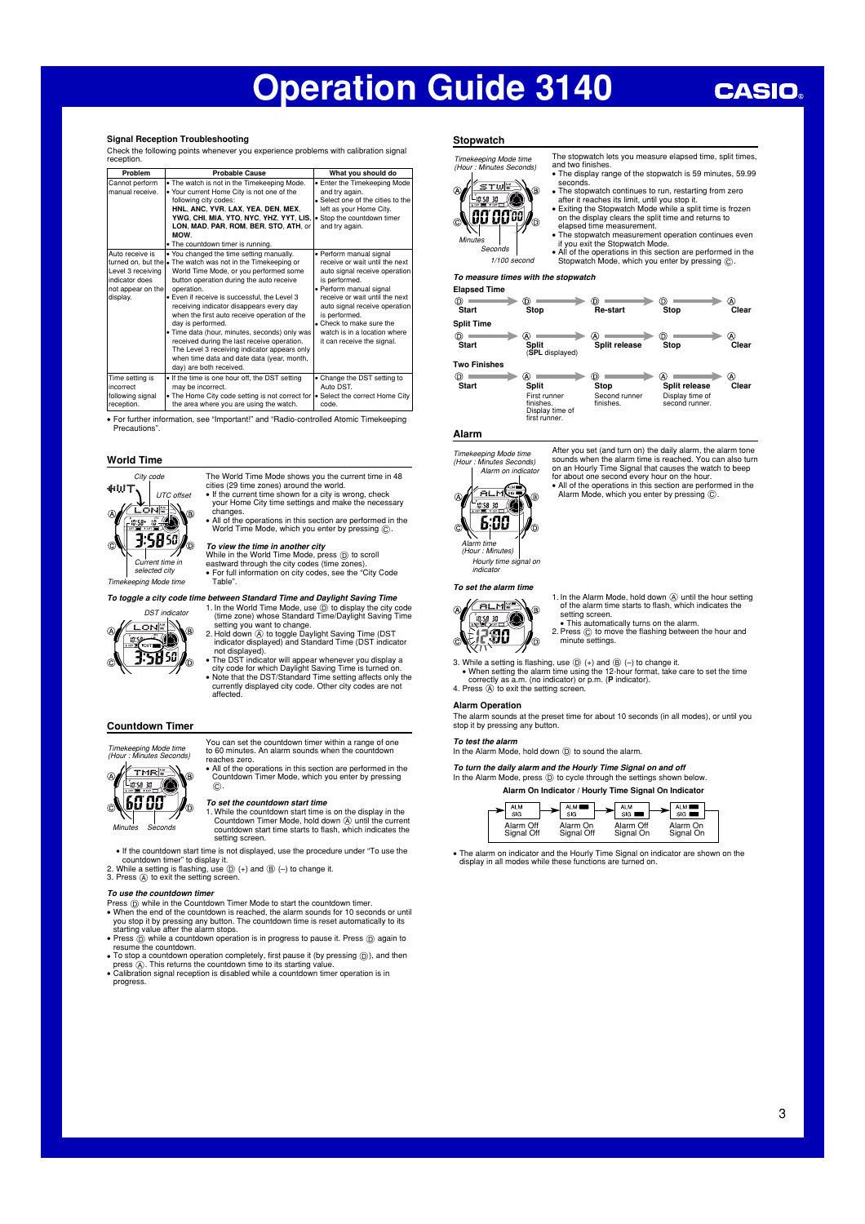#### **Signal Reception Troubleshooting**

Check the following points whenever you experience problems with calibration signal reception.

| Problem                                                                                 | <b>Probable Cause</b>                                                                                                                                                                                                                                                                                                                                                                                                                                                                                                                                                                                  | What you should do                                                                                                                                                                                                                                                                                                   |
|-----------------------------------------------------------------------------------------|--------------------------------------------------------------------------------------------------------------------------------------------------------------------------------------------------------------------------------------------------------------------------------------------------------------------------------------------------------------------------------------------------------------------------------------------------------------------------------------------------------------------------------------------------------------------------------------------------------|----------------------------------------------------------------------------------------------------------------------------------------------------------------------------------------------------------------------------------------------------------------------------------------------------------------------|
| Cannot perform<br>manual receive.                                                       | . The watch is not in the Timekeeping Mode.<br>. Your current Home City is not one of the<br>following city codes:<br>HNL, ANC, YVR, LAX, YEA, DEN, MEX,<br>YWG, CHI, MIA, YTO, NYC, YHZ, YYT, LIS,<br>LON, MAD, PAR, ROM, BER, STO, ATH, or<br>MOW.<br>. The countdown timer is running.                                                                                                                                                                                                                                                                                                              | • Enter the Timekeeping Mode<br>and try again.<br>• Select one of the cities to the<br>left as your Home City.<br>• Stop the countdown timer<br>and try again.                                                                                                                                                       |
| Auto receive is<br>Level 3 receiving<br>indicator does<br>not appear on the<br>display. | . You changed the time setting manually.<br>turned on, but the • The watch was not in the Timekeeping or<br>World Time Mode, or you performed some<br>button operation during the auto receive<br>operation.<br>. Even if receive is successful, the Level 3<br>receiving indicator disappears every day<br>when the first auto receive operation of the<br>day is performed.<br>. Time data (hour, minutes, seconds) only was<br>received during the last receive operation.<br>The Level 3 receiving indicator appears only<br>when time data and date data (year, month,<br>day) are both received. | · Perform manual signal<br>receive or wait until the next<br>auto signal receive operation<br>is performed.<br>· Perform manual signal<br>receive or wait until the next<br>auto signal receive operation<br>is performed.<br>. Check to make sure the<br>watch is in a location where<br>it can receive the signal. |
| Time setting is<br>incorrect<br>following signal<br>reception.                          | . If the time is one hour off, the DST setting<br>may be incorrect.<br>. The Home City code setting is not correct for<br>the area where you are using the watch.                                                                                                                                                                                                                                                                                                                                                                                                                                      | • Change the DST setting to<br>Auto DST.<br>• Select the correct Home City<br>code.                                                                                                                                                                                                                                  |

• For further information, see "Important!" and "Radio-controlled Atomic Timekeeping Precautions".

#### **World Time**



The World Time Mode shows you the current time in 48<br>cities (29 time zones) around the world.<br>• If the current time shown for a city is wrong, check<br>• your Home City time settings and make the necessary changes. • All of the operations in this section are performed in the World Time Mode, which you enter by pressing  $\odot$ 

*To view the time in another city*<br>While in the World Time Mode, press ⓒ to scroll<br>eastward through the city codes (time zones).<br>• For full information on city codes, see the "City Code Table".

*To toggle a city code time between Standard Time and Daylight Saving Time* 



1. In the World Time Mode, use  $\textcircled{)}$  to display the city code (time zone) whose Standard Time/Daylight Saving Time setting you want to change. 2. Hold down A to toggle Daylight Saving Time (DST indicator displayed) and Standard Time (DST indicator

- 
- not displayed)<br>• The DST indicator will appear whenever you display a<br>• The DST indicator will appear whenever you display a<br>• Note that the DST/Standard Time setting affects only the<br>• currently displayed city code. Other affected.

#### **Countdown Timer**



You can set the countdown timer within a range of one to 60 minutes. An alarm sounds when the countdown reaches zero.

 • All of the operations in this section are performed in the Countdown Timer Mode, which you enter by pressing  $\tilde{c}$ 

**To set the countdown start time**<br>1. While the countdown start time is on the display in the<br>Countdown Timer Mode, hold down **A** until the current countdown start time starts to flash, which indicates the setting screen.

• If the countdown start time is not displayed, use the procedure under "To use the

countdown timer" to display it.<br>2. While a setting is flashing, use  $\textcircled{b}$  (+) and  $\textcircled{b}$  (-) to change it.<br>3. Press  $\textcircled{A}$  to exit the setting screen.

#### *To use the countdown timer*

- Press  $\widehat{\mathfrak{g}}$  (by while in the Countdown Timer Mode to start the countdown timer.<br>• When the end of the countdown is reached, the alarm sounds for 10 seconds or until<br>you stop it by pressing any button. The countdown
- resume the countdown.
- To stop a countdown operation completely, first pause it (by pressing ⓪), and then<br>- press ④. This returns the countdown time to its starting value.<br>• Calibration signal reception is disabled while a countdown timer ope
- progress.

### **Stopwatch**

The stopwatch lets you measure elapsed time, split times, *Timekeeping Mode time (Hour : Minutes Seconds)* and two finishes. • The display range of the stopwatch is 59 minutes, 59.99 seconds. <sup>∕</sup>s⊤w<mark>∞</mark> ⋒



- The stopwatch continues to run, restarting from zero after it reaches its limit, until you stop it. • Exiting the Stopwatch Mode while a split time is frozen on the display clears the split time and returns to
- elapsed time measurement. • The stopwatch measurement operation continues even
- 
- if you exit the Stopwatch Mode. • All of the operations in this section are performed in the Stopwatch Mode, which you enter by pressing C .

#### *To measure times with the stopwatch*

| <b>Elapsed Time</b> |                                                               |                            |                                   |       |
|---------------------|---------------------------------------------------------------|----------------------------|-----------------------------------|-------|
| O)                  | D,                                                            | D.                         | D)                                | M)    |
| Start               | Stop                                                          | Re-start                   | Stop                              | Clear |
| <b>Split Time</b>   |                                                               |                            |                                   |       |
| (D.                 | Â                                                             | Ж                          | D)                                | M)    |
| Start               | Split<br>(SPL displayed)                                      | Split release              | Stop                              | Clear |
| <b>Two Finishes</b> |                                                               |                            |                                   |       |
| O)                  | Â                                                             | D.                         | A.                                | M)    |
| Start               | <b>Split</b>                                                  | Stop                       | Split release                     | Clear |
|                     | First runner<br>finishes.<br>Display time of<br>first runner. | Second runner<br>finishes. | Display time of<br>second runner. |       |

#### **Alarm**

G

*Timekeeping Mode time (Hour : Minutes Seconds) Alarm on indicator* <u>Zalmed</u>

After you set (and turn on) the daily alarm, the alarm tone<br>sounds when the alarm time is reached. You can also turn sounds when the alarm time is reached. You can also turn<br>on an Hourly Time Signal that causes the watch to beep<br>for about one second every hour on the hour.<br>• All of the operations in this section are performed in the<br>Alar

 $6:00$ *Alarm time (Hour : Minutes) Hourly time signal on indicator*

Ġ

## *To set the alarm time*



1. In the Alarm Mode, hold down  $\overline{A}$  until the hour setting of the alarm time starts to flash, which indicates the

setting screen.<br>• This automatically turns on the alarm.<br>2. Press ⓒ to move the flashing between the hour and<br>minute settings.

- 3. While a setting is flashing, use  $\textcircled{D}$  (+) and  $\textcircled{B}$  (-) to change it.<br>• When setting the alarm time using the 12-hour format, take care to set the time correctly as a.m. (no indicator) or p.m. (**P** indicator).
- 4. Press  $\overline{A}$  to exit the setting screen.

#### **Alarm Operation**

The alarm sounds at the preset time for about 10 seconds (in all modes), or until you stop it by pressing any but

#### *To test the alarm*

In the Alarm Mode, hold down  $\textcircled{D}$  to sound the alarm.

*To turn the daily alarm and the Hourly Time Signal on and off*  In the Alarm Mode, press (D) to cycle through the settings shown below.

| Alarm On Indicator / Hourly Time Signal On Indicator |            |                     |               |
|------------------------------------------------------|------------|---------------------|---------------|
|                                                      | $\sim$ ALM | $-$ ALM<br>$\cdots$ | ALM <b>DE</b> |

| Alarm Off  | Alarm On   | Alarm Off | Alarm On  |  |
|------------|------------|-----------|-----------|--|
| Signal Off | Signal Off | Signal On | Signal On |  |
|            |            |           |           |  |

 • The alarm on indicator and the Hourly Time Signal on indicator are shown on the display in all modes while these functions are turned on.

## *1/100 second*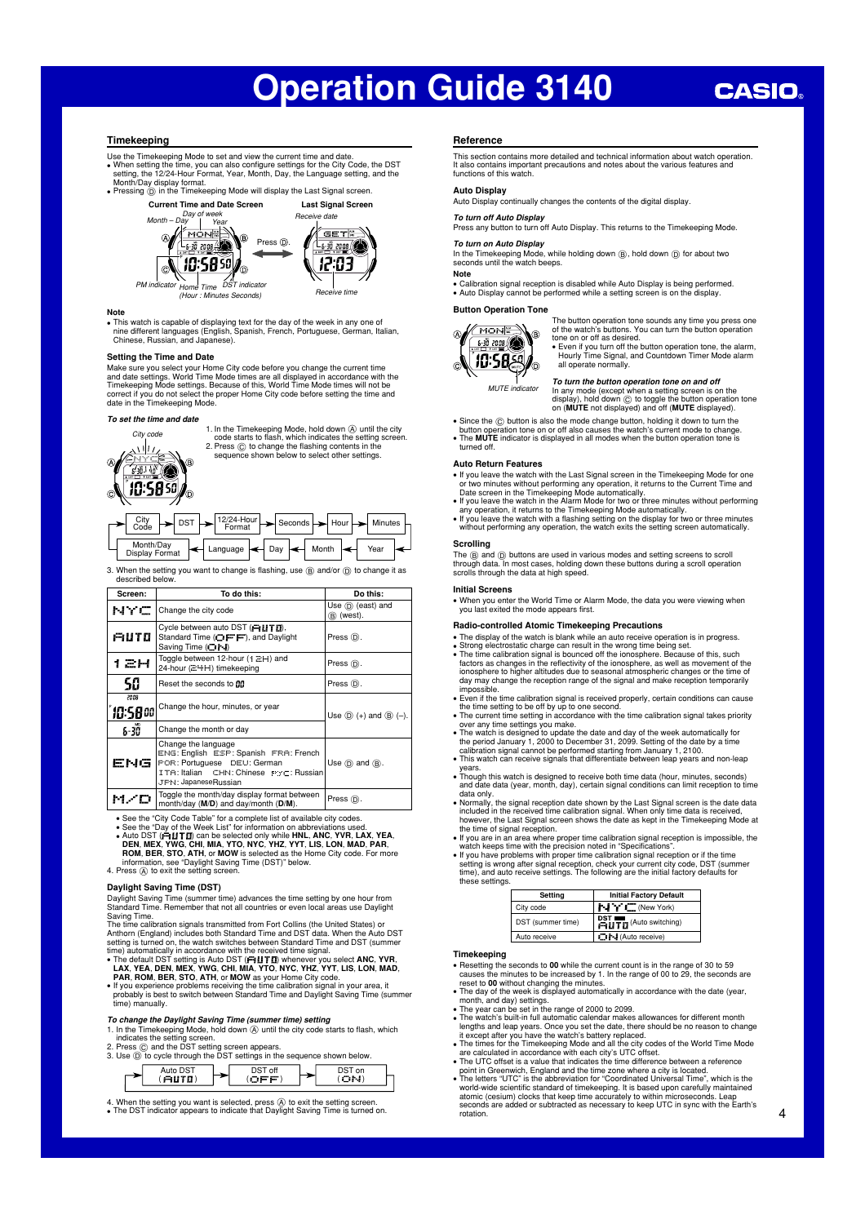## **CASIO**

#### **Timekeeping**

Use the Timekeeping Mode to set and view the current time and date. • When setting the time, you can also configure settings for the City Code, the DST<br>setting, the 12/24-Hour Format, Year, Month, Day, the Language setting, and the<br>Month/Day display format.<br>• Pressing (i) in the Timekeepin

**Current Time and Date Screen Last Signal Screen**



10.5850 ′∂

*Home Time PM indicator DST indicator (Hour : Minutes Seconds)*

#### **Note**

• This watch is capable of displaying text for the day of the week in any one of nine different languages (English, Spanish, French, Portuguese, German, Italian, Chinese, Russian, and Japanese).

*Receive time*

12:03

#### **Setting the Time and Date**

Make sure you select your Home City code before you change the current time<br>and date settings. World Time Mode times are all displayed in accordance with the<br>Timekeeping Mode settings. Because of this, World Time Mode time date in the Timekeeping Mode

#### *To set the time and date*



3. When the setting you want to change is flashing, use  $\circledB$  and/or  $\circledD$  to change it as described below.

| Screen:         | To do this:                                                                                                                                                   | Do this:                          |
|-----------------|---------------------------------------------------------------------------------------------------------------------------------------------------------------|-----------------------------------|
| NYC             | Change the city code                                                                                                                                          | Use $(D)$ (east) and<br>® (west). |
| AUTO            | Cycle between auto DST (FILITII).<br>Standard Time (FFF), and Daylight<br>Saving Time (CI-I)                                                                  | Press (D).                        |
| ан              | Toggle between 12-hour ( $\uparrow \Xi$ H) and<br>24-hour (군나H) timekeeping                                                                                   | Press (D).                        |
| 50              | Reset the seconds to fift                                                                                                                                     | Press (D).                        |
| 2008<br>10:5800 | Change the hour, minutes, or year                                                                                                                             | Use $(D)$ (+) and $(B)$ (-).      |
| 6-30            | Change the month or day                                                                                                                                       |                                   |
| ENG             | Change the language<br>ENG: English ESP: Spanish FRA: French<br>POR: Portuguese DEU: German<br>ITA: Italian CHN: Chinese PYC: Russian<br>JPN: JapaneseRussian | Use $(D)$ and $(B)$ .             |
|                 | Toggle the month/day display format between<br>month/day (M/D) and day/month (D/M).                                                                           | Press (D).                        |

• See the "City Code Table" for a complete list of available city codes.<br>See the "Day of the Week List" for information on abbreviations used.<br>• Auto DST ( $\overline{H}dITT$ ) can be selected only while HNL, ANC, YVR, LAX, YEA,<br>D

**Daylight Saving Time (DST)** 

Daylight Saving Time (summer time) advances the time setting by one hour from

Standard Time. Remember that not all countries or even local areas use Daylight<br>Saving Time.<br>Saving Time.<br>The time calibration signals transmitted from Fort Collins (the United States) or<br>Anthorn (England) includes both St

- 
- -

*To change the Daylight Saving Time (summer time) setting*<br>1. In the Timekeeping Mode, hold down @ until the city code starts to flash, which

indicates the setting screen. 2. Press C and the DST setting screen appears. 3. Use D to cycle through the DST settings in the sequence shown below.



4. When the setting you want is selected, press ④ to exit the setting screen.<br>• The DST indicator appears to indicate that Daylight Saving Time is turned on.

#### **Reference**

This section contains more detailed and technical information about watch operation. It also contains important precautions and notes about the various features and functions of this watch.

#### **Auto Display**

Auto Display continually changes the contents of the digital display.

#### *To turn off Auto Display*

Press any button to turn off Auto Display. This returns to the Timekeeping Mode.

*To turn on Auto Display*<br>In the Timekeeping Mode, while holding down ⑧, hold down ⓪ for about two<br>seconds until the watch beeps. **Note** 

• Calibration signal reception is disabled while Auto Display is being performed. • Auto Display cannot be performed while a setting screen is on the display.

#### **Button Operation Tone**



The button operation tone sounds any time you press one<br>of the watch's buttons. You can turn the button operation<br>tone on or off as desired.<br>● Even if you turn off the button operation tone, the alarm,<br>Butty Time Signal, a

all operate normally.

*MUTE indicator*

To turn the button operation tone on and off<br>In any mode (except when a setting screen is on the<br>display), hold down ⓒ to toggle the button operation tone<br>on (MUTE not displayed) and off (MUTE displayed).

• Since the  $\odot$  button is also the mode change button, holding it down to turn the

button operation tone on or off also causes the watch's current mode to change. • The **MUTE** indicator is displayed in all modes when the button operation tone is turned off

#### **Auto Return Features**

- If you leave the watch with the Last Signal screen in the Timekeeping Mode for one
- or two minutes without performing any operation, it returns to the Current Time and<br>Date screen in the Timekeeping Mode automatically.<br>  $\bullet$  If you leave the watch in the Alarm Mode for two or three minutes without perform
- 

### **Scrolling**

The (B) and (D) buttons are used in various modes and setting screens to scroll<br>through data. In most cases, holding down these buttons during a scroll operation scrolls through the data at high speed.

#### **Initial Screens**

 • When you enter the World Time or Alarm Mode, the data you were viewing when you last exited the mode appears first.

## **Radio-controlled Atomic Timekeeping Precautions**

- 
- The display of the watch is blank while an auto receive operation is in progress.<br>• Strong electrostatic charge can result in the wrong time being set.
- Strong electrostatic charge can result in the wrong time being set.<br>• The time calibration signal is bounced off the ionosphere. Because of this, such<br>factors as changes in the reflectivity of the ionosphere, as well as
- 
- 
- impossible.<br>
 Even if the time calibration signal is received properly, certain conditions can cause<br>
 the time setting to be off by up to one second.<br>
 The current time setting in accordance with the time calibration s
- years. • Though this watch is designed to receive both time data (hour, minutes, seconds) and date data (year, month, day), certain signal conditions can limit reception to time
- 
- data only.<br>• Normally, the signal reception date shown by the Last Signal screen is the date data<br>• included in the received time calibration signal. When only time data is received,<br>• however, the Last Signal screen shows
- the time of signal reception. • If you are in an area where proper time calibration signal reception is impossible, the
- 
- watch keeps time with the precision noted in "Specifications".<br>• If you have problems with proper time calibration signal reception or if the time<br>setting is wrong after signal reception, check your current city code, DST

| Setting           | <b>Initial Factory Default</b>                           |
|-------------------|----------------------------------------------------------|
| City code         | $\mathbf{F} \cdot \mathbf{I}$ or $\mathbf{I}$ (New York) |
| DST (summer time) | <b>PST TTD</b> (Auto switching)                          |
| Auto receive      | <b>DI-I</b> (Auto receive)                               |

### **Timekeeping**

- 
- Resetting the seconds to 00 while the current count is in the range of 30 to 59 causes the minutes to be increased by 1. In the range of 00 to 29, the seconds are reset to 00 without changing the minutes.<br>
 The day of t
- 
- The watch's built-in full automatic calendar makes allowances for different month lengths and leap years. Once you set the date, there should be no reason to change<br>it except after you have the watch's battery replaced.<br>The times for the Timekeeping Mode and all the city codes of the World Time Mode<br>are
- The UTC offset is a value that indicates the time difference between a reference
- point in Greenwich, England and the time zone where a city is located. • The letters "UTC" is the abbreviation for "Coordinated Universal Time", which is the
- world-wide scientific standard of timekeeping. It is based upon carefully maintained<br>atomic (cesium) clocks that keep time accurately to within microseconds. Leap<br>seconds are added or subtracted as necessary to keep UTC in rotation.

4